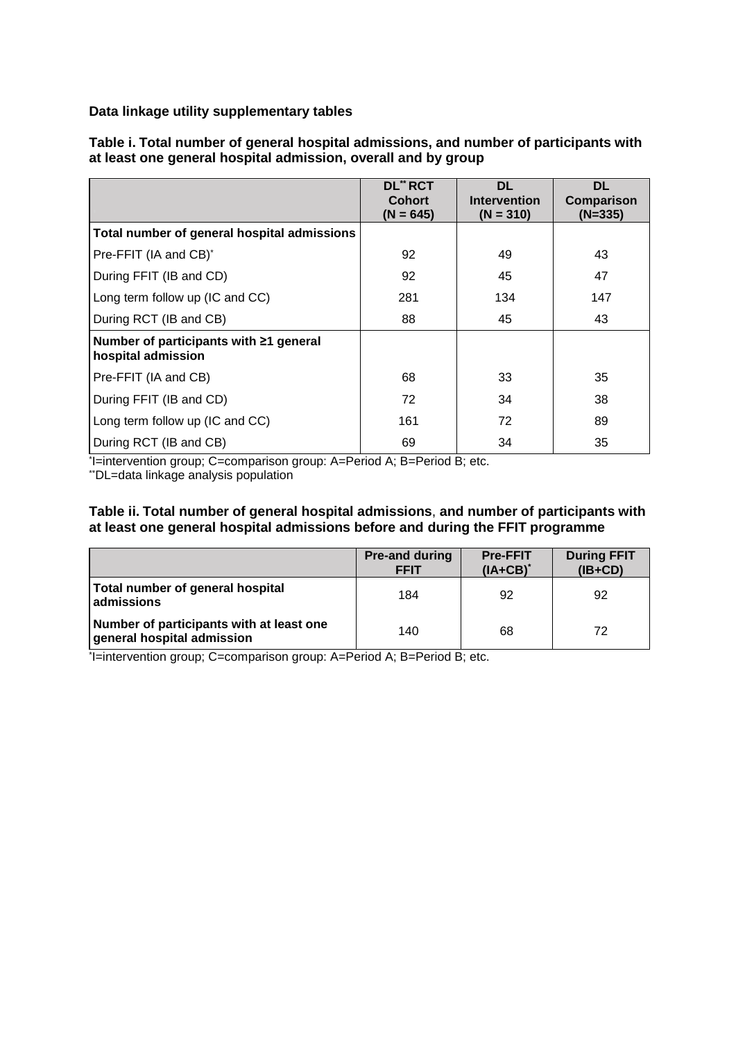**Data linkage utility supplementary tables** 

|                                                              | <b>DL** RCT</b><br><b>Cohort</b><br>$(N = 645)$ | <b>DL</b><br><b>Intervention</b><br>$(N = 310)$ | <b>DL</b><br>Comparison<br>$(N=335)$ |
|--------------------------------------------------------------|-------------------------------------------------|-------------------------------------------------|--------------------------------------|
| Total number of general hospital admissions                  |                                                 |                                                 |                                      |
| Pre-FFIT (IA and CB) <sup>*</sup>                            | 92                                              | 49                                              | 43                                   |
| During FFIT (IB and CD)                                      | 92                                              | 45                                              | 47                                   |
| Long term follow up (IC and CC)                              | 281                                             | 134                                             | 147                                  |
| During RCT (IB and CB)                                       | 88                                              | 45                                              | 43                                   |
| Number of participants with ≥1 general<br>hospital admission |                                                 |                                                 |                                      |
| Pre-FFIT (IA and CB)                                         | 68                                              | 33                                              | 35                                   |
| During FFIT (IB and CD)                                      | 72                                              | 34                                              | 38                                   |
| Long term follow up (IC and CC)                              | 161                                             | 72                                              | 89                                   |
| During RCT (IB and CB)                                       | 69                                              | 34                                              | 35                                   |

**Table i. Total number of general hospital admissions, and number of participants with at least one general hospital admission, overall and by group**

\* I=intervention group; C=comparison group: A=Period A; B=Period B; etc.

\*\*DL=data linkage analysis population

#### **Table ii. Total number of general hospital admissions**, **and number of participants with at least one general hospital admissions before and during the FFIT programme**

|                                                                        | <b>Pre-and during</b><br><b>FFIT</b> | <b>Pre-FFIT</b><br>$(IA+CB)^*$ | <b>During FFIT</b><br>$(IB+CD)$ |
|------------------------------------------------------------------------|--------------------------------------|--------------------------------|---------------------------------|
| Total number of general hospital<br>admissions                         | 184                                  | 92                             | 92                              |
| Number of participants with at least one<br>general hospital admission | 140                                  | 68                             | 72                              |

\* I=intervention group; C=comparison group: A=Period A; B=Period B; etc.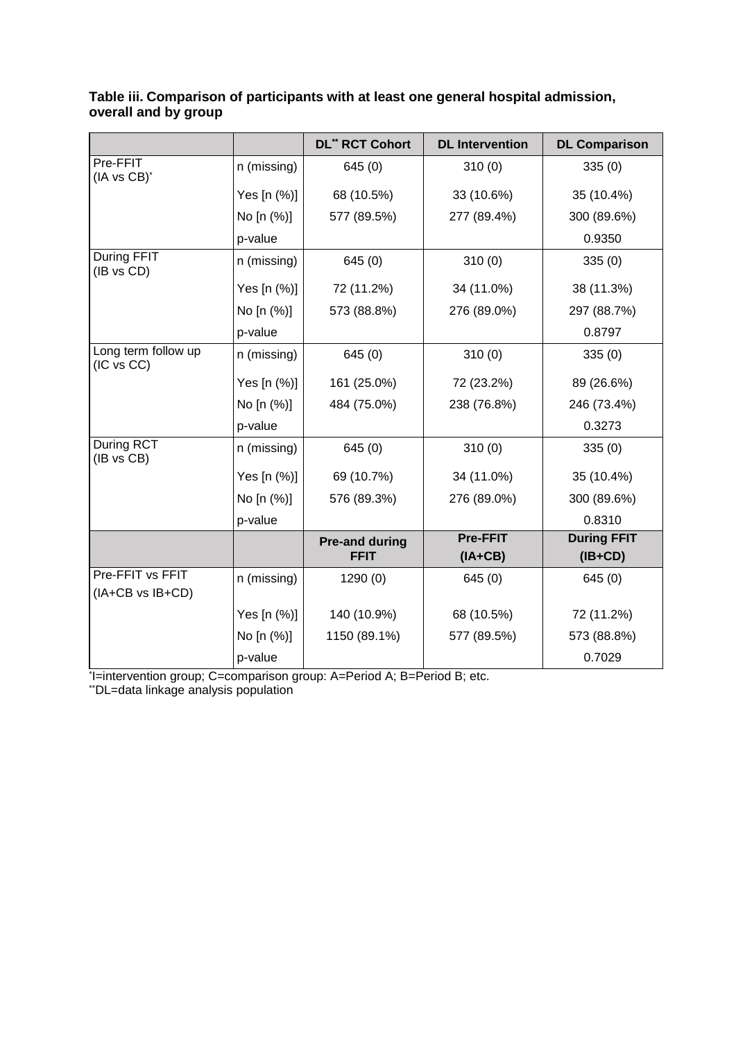|                                      |             | <b>DL" RCT Cohort</b>                | <b>DL</b> Intervention       | <b>DL Comparison</b>            |
|--------------------------------------|-------------|--------------------------------------|------------------------------|---------------------------------|
| Pre-FFIT<br>(IA vs CB)*              | n (missing) | 645(0)                               | 310(0)                       | 335(0)                          |
|                                      | Yes [n (%)] | 68 (10.5%)                           | 33 (10.6%)                   | 35 (10.4%)                      |
|                                      | No [n (%)]  | 577 (89.5%)                          | 277 (89.4%)                  | 300 (89.6%)                     |
|                                      | p-value     |                                      |                              | 0.9350                          |
| During FFIT<br>(IB vs CD)            | n (missing) | 645(0)                               | 310(0)                       | 335(0)                          |
|                                      | Yes [n (%)] | 72 (11.2%)                           | 34 (11.0%)                   | 38 (11.3%)                      |
|                                      | No [n (%)]  | 573 (88.8%)                          | 276 (89.0%)                  | 297 (88.7%)                     |
|                                      | p-value     |                                      |                              | 0.8797                          |
| Long term follow up<br>(IC vs CC)    | n (missing) | 645(0)                               | 310(0)                       | 335(0)                          |
|                                      | Yes [n (%)] | 161 (25.0%)                          | 72 (23.2%)                   | 89 (26.6%)                      |
|                                      | No [n (%)]  | 484 (75.0%)                          | 238 (76.8%)                  | 246 (73.4%)                     |
|                                      | p-value     |                                      |                              | 0.3273                          |
| <b>During RCT</b><br>(IB vs CB)      | n (missing) | 645(0)                               | 310(0)                       | 335(0)                          |
|                                      | Yes [n (%)] | 69 (10.7%)                           | 34 (11.0%)                   | 35 (10.4%)                      |
|                                      | No [n (%)]  | 576 (89.3%)                          | 276 (89.0%)                  | 300 (89.6%)                     |
|                                      | p-value     |                                      |                              | 0.8310                          |
|                                      |             | <b>Pre-and during</b><br><b>FFIT</b> | <b>Pre-FFIT</b><br>$(IA+CB)$ | <b>During FFIT</b><br>$(IB+CD)$ |
| Pre-FFIT vs FFIT<br>(IA+CB vs IB+CD) | n (missing) | 1290(0)                              | 645(0)                       | 645(0)                          |
|                                      | Yes [n (%)] | 140 (10.9%)                          | 68 (10.5%)                   | 72 (11.2%)                      |
|                                      | No [n (%)]  | 1150 (89.1%)                         | 577 (89.5%)                  | 573 (88.8%)                     |
|                                      | p-value     |                                      |                              | 0.7029                          |

# **Table iii. Comparison of participants with at least one general hospital admission, overall and by group**

\* I=intervention group; C=comparison group: A=Period A; B=Period B; etc.

\*\*DL=data linkage analysis population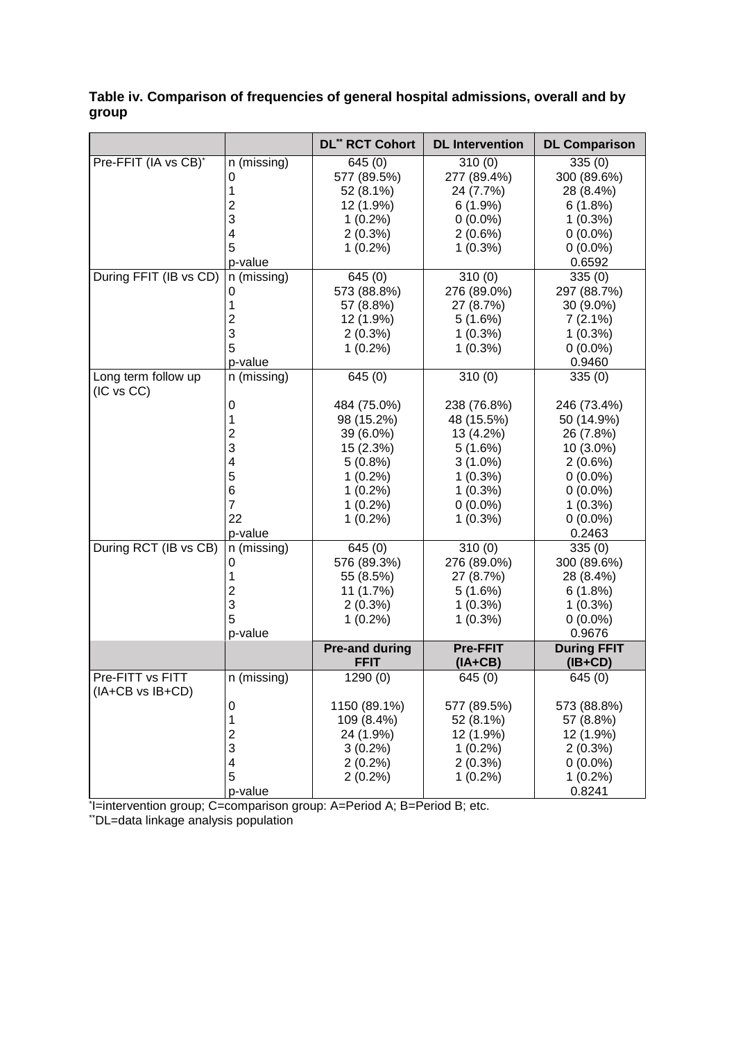# **Table iv. Comparison of frequencies of general hospital admissions, overall and by group**

|                                   |                         | <b>DL" RCT Cohort</b>                | <b>DL</b> Intervention       | <b>DL Comparison</b>            |
|-----------------------------------|-------------------------|--------------------------------------|------------------------------|---------------------------------|
| Pre-FFIT (IA vs CB)*              | n (missing)             | 645(0)                               | 310(0)                       | 335(0)                          |
|                                   | 0                       | 577 (89.5%)                          | 277 (89.4%)                  | 300 (89.6%)                     |
|                                   | 1                       | 52 (8.1%)                            | 24 (7.7%)                    | 28 (8.4%)                       |
|                                   | 2                       | 12 (1.9%)                            | 6(1.9%)                      | 6(1.8%)                         |
|                                   | 3                       | $1(0.2\%)$                           | $0(0.0\%)$                   | $1(0.3\%)$                      |
|                                   | 4                       | $2(0.3\%)$                           | 2(0.6%)                      | $0(0.0\%)$                      |
|                                   | 5                       | $1(0.2\%)$                           | $1(0.3\%)$                   | $0(0.0\%)$                      |
|                                   | p-value                 |                                      |                              | 0.6592                          |
| During FFIT (IB vs CD)            | n (missing)             | 645(0)                               | 310(0)                       | 335(0)                          |
|                                   | 0                       | 573 (88.8%)                          | 276 (89.0%)                  | 297 (88.7%)                     |
|                                   | 1                       | 57 (8.8%)                            | 27 (8.7%)                    | 30 (9.0%)                       |
|                                   | 2                       | 12 (1.9%)                            | 5(1.6%)                      | 7(2.1%)                         |
|                                   | 3                       | $2(0.3\%)$                           | $1(0.3\%)$                   | $1(0.3\%)$                      |
|                                   | 5                       | $1(0.2\%)$                           | $1(0.3\%)$                   | $0(0.0\%)$                      |
|                                   | p-value                 |                                      |                              | 0.9460                          |
| Long term follow up<br>(IC vs CC) | n (missing)             | 645(0)                               | 310(0)                       | 335(0)                          |
|                                   | 0                       | 484 (75.0%)                          | 238 (76.8%)                  | 246 (73.4%)                     |
|                                   | 1                       | 98 (15.2%)                           | 48 (15.5%)                   | 50 (14.9%)                      |
|                                   | 2                       | 39 (6.0%)                            | 13 (4.2%)                    | 26 (7.8%)                       |
|                                   | 3                       | 15 (2.3%)                            | 5(1.6%)                      | 10 (3.0%)                       |
|                                   | 4                       | $5(0.8\%)$                           | $3(1.0\%)$                   | $2(0.6\%)$                      |
|                                   | 5                       | $1(0.2\%)$                           | $1(0.3\%)$                   | $0(0.0\%)$                      |
|                                   | 6                       | $1(0.2\%)$                           | $1(0.3\%)$                   | $0(0.0\%)$                      |
|                                   | 7                       | $1(0.2\%)$                           | $0(0.0\%)$                   | $1(0.3\%)$                      |
|                                   | 22                      | $1(0.2\%)$                           | $1(0.3\%)$                   | $0(0.0\%)$                      |
|                                   | p-value                 |                                      |                              | 0.2463                          |
| During RCT (IB vs CB)             | n (missing)             | 645(0)                               | 310(0)                       | 335(0)                          |
|                                   | 0                       | 576 (89.3%)                          | 276 (89.0%)                  | 300 (89.6%)                     |
|                                   | 1                       | 55 (8.5%)                            | 27 (8.7%)                    | 28 (8.4%)                       |
|                                   | 2                       | 11 (1.7%)                            | 5(1.6%)                      | 6(1.8%)                         |
|                                   | 3                       | $2(0.3\%)$                           | $1(0.3\%)$                   | $1(0.3\%)$                      |
|                                   | 5                       | $1(0.2\%)$                           | $1(0.3\%)$                   | $0(0.0\%)$                      |
|                                   | p-value                 |                                      |                              | 0.9676                          |
|                                   |                         | <b>Pre-and during</b><br><b>FFIT</b> | <b>Pre-FFIT</b><br>$(IA+CB)$ | <b>During FFIT</b><br>$(IB+CD)$ |
| Pre-FITT vs FITT                  | n (missing)             | 1290(0)                              | 645(0)                       | 645(0)                          |
| $(IA+CB \text{ vs } IB+CD)$       |                         |                                      |                              |                                 |
|                                   | 0                       | 1150 (89.1%)                         | 577 (89.5%)                  | 573 (88.8%)                     |
|                                   | 1                       | 109 (8.4%)                           | 52 (8.1%)                    | 57 (8.8%)                       |
|                                   | $\overline{\mathbf{c}}$ | 24 (1.9%)                            | 12 (1.9%)                    | 12 (1.9%)                       |
|                                   | 3                       | $3(0.2\%)$                           | $1(0.2\%)$                   | $2(0.3\%)$                      |
|                                   | 4                       | $2(0.2\%)$                           | 2(0.3%)                      | $0(0.0\%)$                      |
|                                   | 5                       | $2(0.2\%)$                           | $1(0.2\%)$                   | $1(0.2\%)$                      |
|                                   | p-value                 |                                      |                              | 0.8241                          |

\* I=intervention group; C=comparison group: A=Period A; B=Period B; etc.

\*\*DL=data linkage analysis population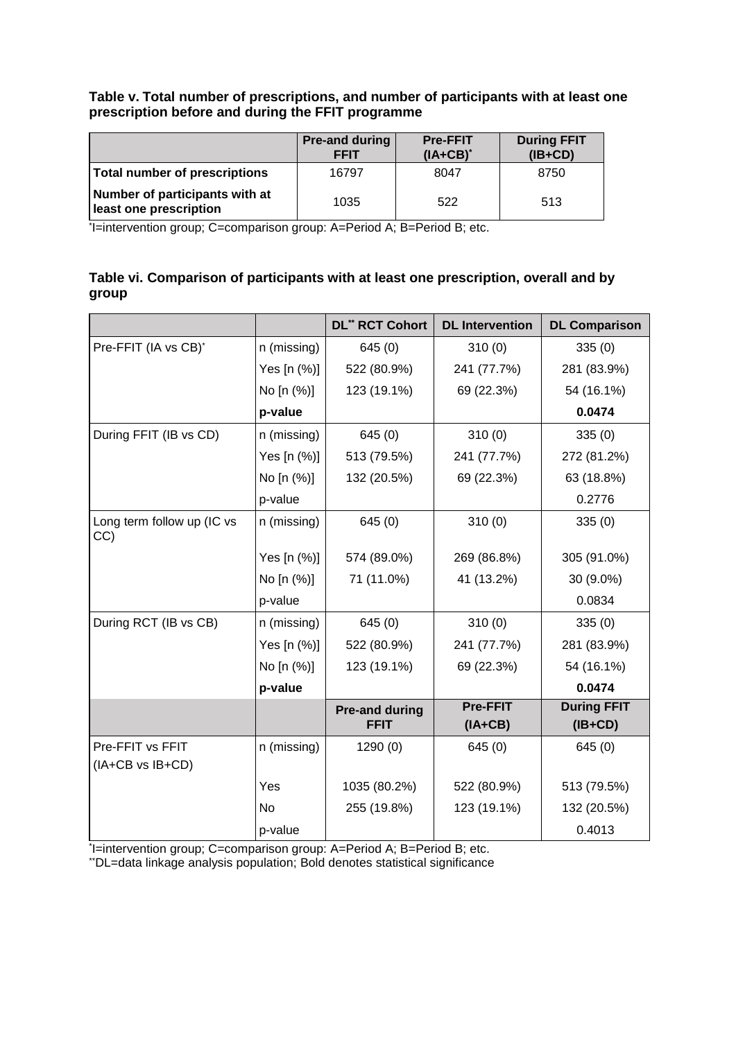# **Table v. Total number of prescriptions, and number of participants with at least one prescription before and during the FFIT programme**

|                                                          | <b>Pre-and during</b><br><b>FFIT</b> | <b>Pre-FFIT</b><br>$(IA+CB)^*$ | <b>During FFIT</b><br>$(IB+CD)$ |
|----------------------------------------------------------|--------------------------------------|--------------------------------|---------------------------------|
| Total number of prescriptions                            | 16797                                | 8047                           | 8750                            |
| Number of participants with at<br>least one prescription | 1035                                 | 522                            | 513                             |

\* I=intervention group; C=comparison group: A=Period A; B=Period B; etc.

# **Table vi. Comparison of participants with at least one prescription, overall and by group**

|                                   |             | <b>DL" RCT Cohort</b> | <b>DL</b> Intervention | <b>DL Comparison</b> |
|-----------------------------------|-------------|-----------------------|------------------------|----------------------|
| Pre-FFIT (IA vs CB)*              | n (missing) | 645(0)                | 310(0)                 | 335(0)               |
|                                   | Yes [n (%)] | 522 (80.9%)           | 241 (77.7%)            | 281 (83.9%)          |
|                                   | No [n (%)]  | 123 (19.1%)           | 69 (22.3%)             | 54 (16.1%)           |
|                                   | p-value     |                       |                        | 0.0474               |
| During FFIT (IB vs CD)            | n (missing) | 645(0)                | 310(0)                 | 335(0)               |
|                                   | Yes [n (%)] | 513 (79.5%)           | 241 (77.7%)            | 272 (81.2%)          |
|                                   | No [n (%)]  | 132 (20.5%)           | 69 (22.3%)             | 63 (18.8%)           |
|                                   | p-value     |                       |                        | 0.2776               |
| Long term follow up (IC vs<br>CC) | n (missing) | 645(0)                | 310(0)                 | 335(0)               |
|                                   | Yes [n (%)] | 574 (89.0%)           | 269 (86.8%)            | 305 (91.0%)          |
|                                   | No [n (%)]  | 71 (11.0%)            | 41 (13.2%)             | 30 (9.0%)            |
|                                   | p-value     |                       |                        | 0.0834               |
| During RCT (IB vs CB)             | n (missing) | 645(0)                | 310(0)                 | 335(0)               |
|                                   | Yes [n (%)] | 522 (80.9%)           | 241 (77.7%)            | 281 (83.9%)          |
|                                   | No [n (%)]  | 123 (19.1%)           | 69 (22.3%)             | 54 (16.1%)           |
|                                   | p-value     |                       |                        | 0.0474               |
|                                   |             | <b>Pre-and during</b> | <b>Pre-FFIT</b>        | <b>During FFIT</b>   |
|                                   |             | <b>FFIT</b>           | $(IA+CB)$              | $(IB+CD)$            |
| Pre-FFIT vs FFIT                  | n (missing) | 1290(0)               | 645(0)                 | 645(0)               |
| (IA+CB vs IB+CD)                  |             |                       |                        |                      |
|                                   | Yes         | 1035 (80.2%)          | 522 (80.9%)            | 513 (79.5%)          |
|                                   | No.         | 255 (19.8%)           | 123 (19.1%)            | 132 (20.5%)          |
|                                   | p-value     |                       |                        | 0.4013               |

\* I=intervention group; C=comparison group: A=Period A; B=Period B; etc.

\*\*DL=data linkage analysis population; Bold denotes statistical significance